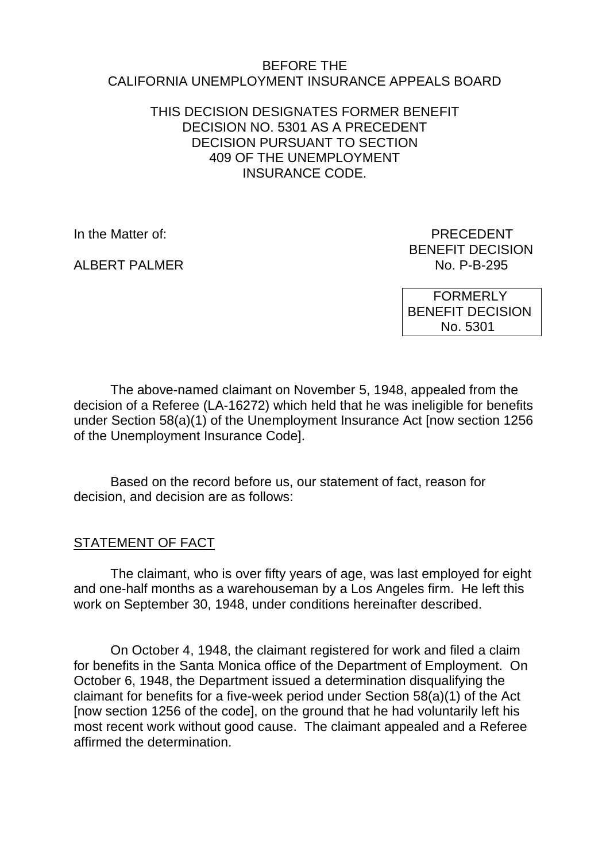#### BEFORE THE CALIFORNIA UNEMPLOYMENT INSURANCE APPEALS BOARD

### THIS DECISION DESIGNATES FORMER BENEFIT DECISION NO. 5301 AS A PRECEDENT DECISION PURSUANT TO SECTION 409 OF THE UNEMPLOYMENT INSURANCE CODE.

In the Matter of: **PRECEDENT** 

ALBERT PALMER

BENEFIT DECISION<br>No. P-B-295

 FORMERLY BENEFIT DECISION No. 5301

The above-named claimant on November 5, 1948, appealed from the decision of a Referee (LA-16272) which held that he was ineligible for benefits under Section 58(a)(1) of the Unemployment Insurance Act [now section 1256 of the Unemployment Insurance Code].

Based on the record before us, our statement of fact, reason for decision, and decision are as follows:

### STATEMENT OF FACT

The claimant, who is over fifty years of age, was last employed for eight and one-half months as a warehouseman by a Los Angeles firm. He left this work on September 30, 1948, under conditions hereinafter described.

On October 4, 1948, the claimant registered for work and filed a claim for benefits in the Santa Monica office of the Department of Employment. On October 6, 1948, the Department issued a determination disqualifying the claimant for benefits for a five-week period under Section 58(a)(1) of the Act [now section 1256 of the code], on the ground that he had voluntarily left his most recent work without good cause. The claimant appealed and a Referee affirmed the determination.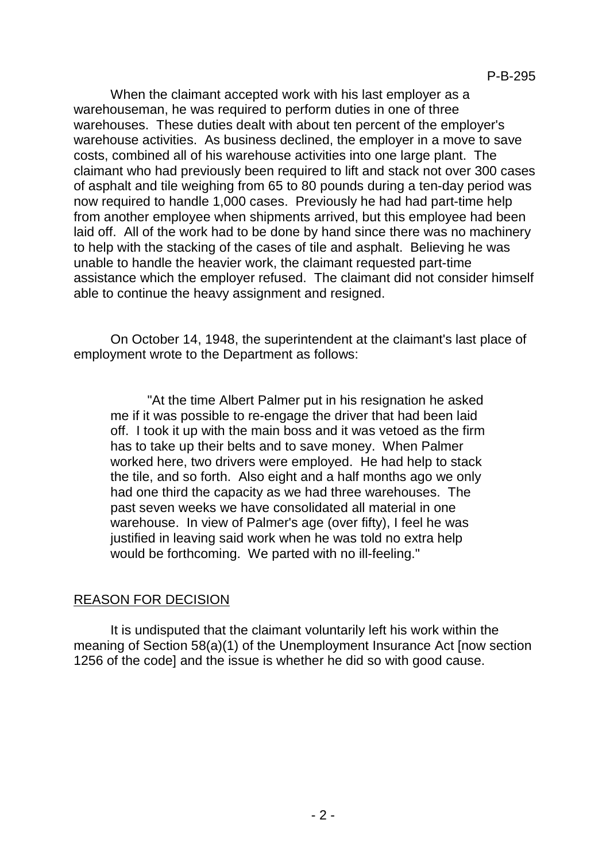When the claimant accepted work with his last employer as a warehouseman, he was required to perform duties in one of three warehouses. These duties dealt with about ten percent of the employer's warehouse activities. As business declined, the employer in a move to save costs, combined all of his warehouse activities into one large plant. The claimant who had previously been required to lift and stack not over 300 cases of asphalt and tile weighing from 65 to 80 pounds during a ten-day period was now required to handle 1,000 cases. Previously he had had part-time help from another employee when shipments arrived, but this employee had been laid off. All of the work had to be done by hand since there was no machinery to help with the stacking of the cases of tile and asphalt. Believing he was unable to handle the heavier work, the claimant requested part-time assistance which the employer refused. The claimant did not consider himself able to continue the heavy assignment and resigned.

On October 14, 1948, the superintendent at the claimant's last place of employment wrote to the Department as follows:

"At the time Albert Palmer put in his resignation he asked me if it was possible to re-engage the driver that had been laid off. I took it up with the main boss and it was vetoed as the firm has to take up their belts and to save money. When Palmer worked here, two drivers were employed. He had help to stack the tile, and so forth. Also eight and a half months ago we only had one third the capacity as we had three warehouses. The past seven weeks we have consolidated all material in one warehouse. In view of Palmer's age (over fifty), I feel he was justified in leaving said work when he was told no extra help would be forthcoming. We parted with no ill-feeling."

### REASON FOR DECISION

It is undisputed that the claimant voluntarily left his work within the meaning of Section 58(a)(1) of the Unemployment Insurance Act [now section 1256 of the code] and the issue is whether he did so with good cause.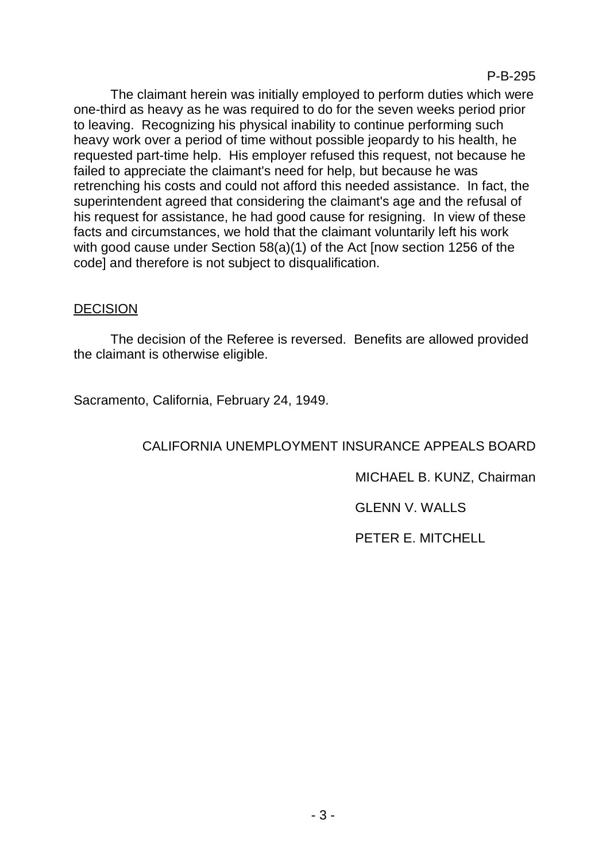The claimant herein was initially employed to perform duties which were one-third as heavy as he was required to do for the seven weeks period prior to leaving. Recognizing his physical inability to continue performing such heavy work over a period of time without possible jeopardy to his health, he requested part-time help. His employer refused this request, not because he failed to appreciate the claimant's need for help, but because he was retrenching his costs and could not afford this needed assistance. In fact, the superintendent agreed that considering the claimant's age and the refusal of his request for assistance, he had good cause for resigning. In view of these facts and circumstances, we hold that the claimant voluntarily left his work with good cause under Section 58(a)(1) of the Act [now section 1256 of the code] and therefore is not subject to disqualification.

## DECISION

The decision of the Referee is reversed. Benefits are allowed provided the claimant is otherwise eligible.

Sacramento, California, February 24, 1949.

## CALIFORNIA UNEMPLOYMENT INSURANCE APPEALS BOARD

MICHAEL B. KUNZ, Chairman

GLENN V. WALLS

PETER E. MITCHELL